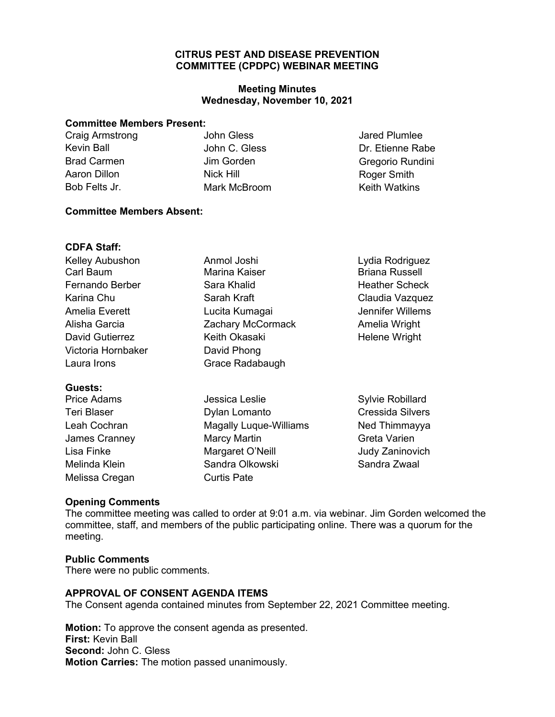## **COMMITTEE (CPDPC) WEBINAR MEETING CITRUS PEST AND DISEASE PREVENTION**

## **Wednesday, November 10, 2021 Meeting Minutes**

#### **Committee Members Present:**

| Craig Armstrong    | John Gless    | Jared Plumlee        |
|--------------------|---------------|----------------------|
| Kevin Ball         | John C. Gless | Dr. Etienne Rabe     |
| <b>Brad Carmen</b> | Jim Gorden    | Gregorio Rundini     |
| Aaron Dillon       | Nick Hill     | Roger Smith          |
| Bob Felts Jr.      | Mark McBroom  | <b>Keith Watkins</b> |
|                    |               |                      |

#### **Committee Members Absent:**

#### **CDFA Staff:**

| <b>Kelley Aubushon</b> | Anmol Joshi          | Lydia Rodriguez       |
|------------------------|----------------------|-----------------------|
| Carl Baum              | <b>Marina Kaiser</b> | <b>Briana Russell</b> |
| Fernando Berber        | Sara Khalid          | <b>Heather Scheck</b> |
| Karina Chu             | Sarah Kraft          | Claudia Vazquez       |
| Amelia Everett         | Lucita Kumagai       | Jennifer Willems      |
| Alisha Garcia          | Zachary McCormack    | Amelia Wright         |
| <b>David Gutierrez</b> | Keith Okasaki        | <b>Helene Wright</b>  |
| Victoria Hornbaker     | David Phong          |                       |
| Laura Irons            | Grace Radabaugh      |                       |
|                        |                      |                       |

# **Guests:**

Teri Blaser **Dylan Lomanto** James Cranney **Marcy Martin** Lisa Finke Margaret O'Neill Melinda Klein Sandra Olkowski Melissa Cregan Curtis Pate

Jessica Leslie Leah Cochran **Magally Luque-Williams** 

Sylvie Robillard Cressida Silvers Ned Thimmayya Greta Varien Judy Zaninovich Sandra Zwaal

#### **Opening Comments**

 The committee meeting was called to order at 9:01 a.m. via webinar. Jim Gorden welcomed the committee, staff, and members of the public participating online. There was a quorum for the meeting.

#### **Public Comments**

There were no public comments.

#### **APPROVAL OF CONSENT AGENDA ITEMS**

The Consent agenda contained minutes from September 22, 2021 Committee meeting.

**Motion:** To approve the consent agenda as presented. **First:** Kevin Ball **Second:** John C. Gless **Motion Carries:** The motion passed unanimously.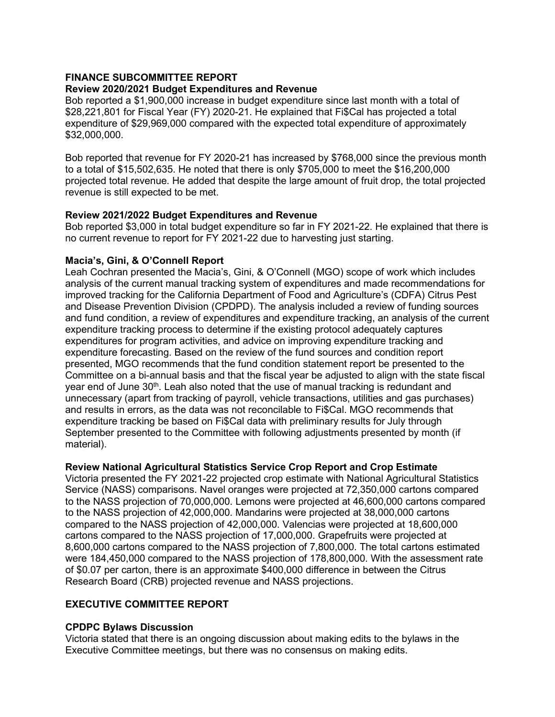#### **FINANCE SUBCOMMITTEE REPORT Review 2020/2021 Budget Expenditures and Revenue**

Bob reported a \$1,900,000 increase in budget expenditure since last month with a total of \$28,221,801 for Fiscal Year (FY) 2020-21. He explained that Fi\$Cal has projected a total expenditure of \$29,969,000 compared with the expected total expenditure of approximately \$32,000,000.

 projected total revenue. He added that despite the large amount of fruit drop, the total projected Bob reported that revenue for FY 2020-21 has increased by \$768,000 since the previous month to a total of \$15,502,635. He noted that there is only \$705,000 to meet the \$16,200,000 revenue is still expected to be met.

# **Review 2021/2022 Budget Expenditures and Revenue**

 Bob reported \$3,000 in total budget expenditure so far in FY 2021-22. He explained that there is no current revenue to report for FY 2021-22 due to harvesting just starting.

# **Macia's, Gini, & O'Connell Report**

 Leah Cochran presented the Macia's, Gini, & O'Connell (MGO) scope of work which includes analysis of the current manual tracking system of expenditures and made recommendations for and fund condition, a review of expenditures and expenditure tracking, an analysis of the current year end of June 30 $^{\text{th}}$ . Leah also noted that the use of manual tracking is redundant and expenditure tracking be based on Fi\$Cal data with preliminary results for July through improved tracking for the California Department of Food and Agriculture's (CDFA) Citrus Pest and Disease Prevention Division (CPDPD). The analysis included a review of funding sources expenditure tracking process to determine if the existing protocol adequately captures expenditures for program activities, and advice on improving expenditure tracking and expenditure forecasting. Based on the review of the fund sources and condition report presented, MGO recommends that the fund condition statement report be presented to the Committee on a bi-annual basis and that the fiscal year be adjusted to align with the state fiscal unnecessary (apart from tracking of payroll, vehicle transactions, utilities and gas purchases) and results in errors, as the data was not reconcilable to Fi\$Cal. MGO recommends that September presented to the Committee with following adjustments presented by month (if material).

# **Review National Agricultural Statistics Service Crop Report and Crop Estimate**

 Service (NASS) comparisons. Navel oranges were projected at 72,350,000 cartons compared to the NASS projection of 42,000,000. Mandarins were projected at 38,000,000 cartons Victoria presented the FY 2021-22 projected crop estimate with National Agricultural Statistics to the NASS projection of 70,000,000. Lemons were projected at 46,600,000 cartons compared compared to the NASS projection of 42,000,000. Valencias were projected at 18,600,000 cartons compared to the NASS projection of 17,000,000. Grapefruits were projected at 8,600,000 cartons compared to the NASS projection of 7,800,000. The total cartons estimated were 184,450,000 compared to the NASS projection of 178,800,000. With the assessment rate of \$0.07 per carton, there is an approximate \$400,000 difference in between the Citrus Research Board (CRB) projected revenue and NASS projections.

# **EXECUTIVE COMMITTEE REPORT**

# **CPDPC Bylaws Discussion**

 Victoria stated that there is an ongoing discussion about making edits to the bylaws in the Executive Committee meetings, but there was no consensus on making edits.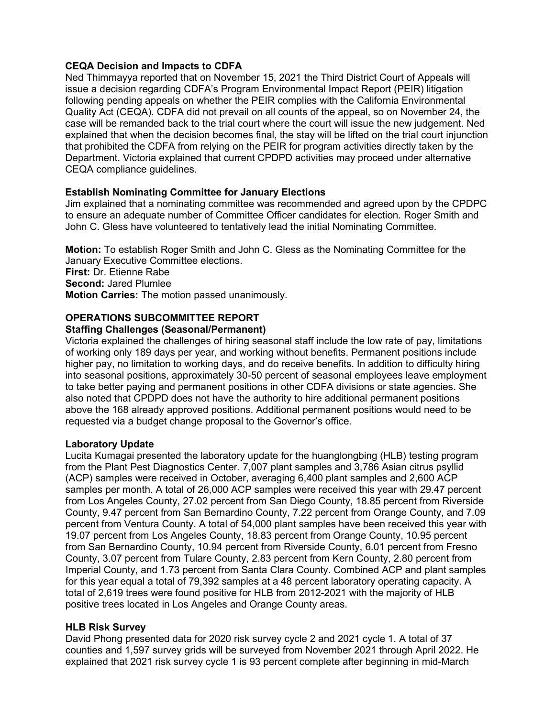## **CEQA Decision and Impacts to CDFA**

 issue a decision regarding CDFA's Program Environmental Impact Report (PEIR) litigation Department. Victoria explained that current CPDPD activities may proceed under alternative Ned Thimmayya reported that on November 15, 2021 the Third District Court of Appeals will following pending appeals on whether the PEIR complies with the California Environmental Quality Act (CEQA). CDFA did not prevail on all counts of the appeal, so on November 24, the case will be remanded back to the trial court where the court will issue the new judgement. Ned explained that when the decision becomes final, the stay will be lifted on the trial court injunction that prohibited the CDFA from relying on the PEIR for program activities directly taken by the CEQA compliance guidelines.

#### **Establish Nominating Committee for January Elections**

 Jim explained that a nominating committee was recommended and agreed upon by the CPDPC John C. Gless have volunteered to tentatively lead the initial Nominating Committee. to ensure an adequate number of Committee Officer candidates for election. Roger Smith and

 **Motion:** To establish Roger Smith and John C. Gless as the Nominating Committee for the January Executive Committee elections. **First:** Dr. Etienne Rabe **Second:** Jared Plumlee **Motion Carries:** The motion passed unanimously.

# **OPERATIONS SUBCOMMITTEE REPORT**

#### **Staffing Challenges (Seasonal/Permanent)**

 Victoria explained the challenges of hiring seasonal staff include the low rate of pay, limitations higher pay, no limitation to working days, and do receive benefits. In addition to difficulty hiring into seasonal positions, approximately 30-50 percent of seasonal employees leave employment to take better paying and permanent positions in other CDFA divisions or state agencies. She of working only 189 days per year, and working without benefits. Permanent positions include also noted that CPDPD does not have the authority to hire additional permanent positions above the 168 already approved positions. Additional permanent positions would need to be requested via a budget change proposal to the Governor's office.

#### **Laboratory Update**

 samples per month. A total of 26,000 ACP samples were received this year with 29.47 percent from Los Angeles County, 27.02 percent from San Diego County, 18.85 percent from Riverside County, 9.47 percent from San Bernardino County, 7.22 percent from Orange County, and 7.09 percent from Ventura County. A total of 54,000 plant samples have been received this year with 19.07 percent from Los Angeles County, 18.83 percent from Orange County, 10.95 percent from San Bernardino County, 10.94 percent from Riverside County, 6.01 percent from Fresno County, 3.07 percent from Tulare County, 2.83 percent from Kern County, 2.80 percent from Imperial County, and 1.73 percent from Santa Clara County. Combined ACP and plant samples for this year equal a total of 79,392 samples at a 48 percent laboratory operating capacity. A total of 2,619 trees were found positive for HLB from 2012-2021 with the majority of HLB Lucita Kumagai presented the laboratory update for the huanglongbing (HLB) testing program from the Plant Pest Diagnostics Center. 7,007 plant samples and 3,786 Asian citrus psyllid (ACP) samples were received in October, averaging 6,400 plant samples and 2,600 ACP positive trees located in Los Angeles and Orange County areas.

#### **HLB Risk Survey**

 David Phong presented data for 2020 risk survey cycle 2 and 2021 cycle 1. A total of 37 explained that 2021 risk survey cycle 1 is 93 percent complete after beginning in mid-March counties and 1,597 survey grids will be surveyed from November 2021 through April 2022. He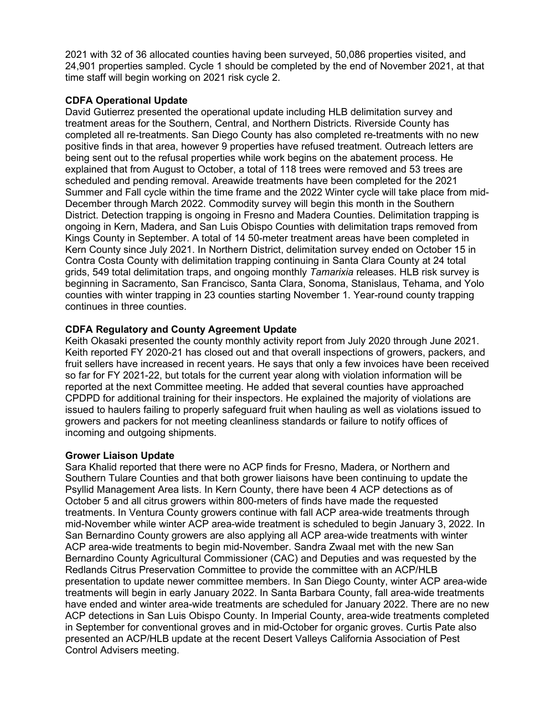2021 with 32 of 36 allocated counties having been surveyed, 50,086 properties visited, and 24,901 properties sampled. Cycle 1 should be completed by the end of November 2021, at that time staff will begin working on 2021 risk cycle 2.

#### **CDFA Operational Update**

 treatment areas for the Southern, Central, and Northern Districts. Riverside County has scheduled and pending removal. Areawide treatments have been completed for the 2021 Summer and Fall cycle within the time frame and the 2022 Winter cycle will take place from mid- Kings County in September. A total of 14 50-meter treatment areas have been completed in grids, 549 total delimitation traps, and ongoing monthly *Tamarixia* releases. HLB risk survey is David Gutierrez presented the operational update including HLB delimitation survey and completed all re-treatments. San Diego County has also completed re-treatments with no new positive finds in that area, however 9 properties have refused treatment. Outreach letters are being sent out to the refusal properties while work begins on the abatement process. He explained that from August to October, a total of 118 trees were removed and 53 trees are December through March 2022. Commodity survey will begin this month in the Southern District. Detection trapping is ongoing in Fresno and Madera Counties. Delimitation trapping is ongoing in Kern, Madera, and San Luis Obispo Counties with delimitation traps removed from Kern County since July 2021. In Northern District, delimitation survey ended on October 15 in Contra Costa County with delimitation trapping continuing in Santa Clara County at 24 total beginning in Sacramento, San Francisco, Santa Clara, Sonoma, Stanislaus, Tehama, and Yolo counties with winter trapping in 23 counties starting November 1. Year-round county trapping continues in three counties.

## **CDFA Regulatory and County Agreement Update**

 Keith Okasaki presented the county monthly activity report from July 2020 through June 2021. so far for FY 2021-22, but totals for the current year along with violation information will be CPDPD for additional training for their inspectors. He explained the majority of violations are growers and packers for not meeting cleanliness standards or failure to notify offices of Keith reported FY 2020-21 has closed out and that overall inspections of growers, packers, and fruit sellers have increased in recent years. He says that only a few invoices have been received reported at the next Committee meeting. He added that several counties have approached issued to haulers failing to properly safeguard fruit when hauling as well as violations issued to incoming and outgoing shipments.

## **Grower Liaison Update**

Sara Khalid reported that there were no ACP finds for Fresno, Madera, or Northern and Southern Tulare Counties and that both grower liaisons have been continuing to update the Psyllid Management Area lists. In Kern County, there have been 4 ACP detections as of October 5 and all citrus growers within 800-meters of finds have made the requested treatments. In Ventura County growers continue with fall ACP area-wide treatments through mid-November while winter ACP area-wide treatment is scheduled to begin January 3, 2022. In San Bernardino County growers are also applying all ACP area-wide treatments with winter ACP area-wide treatments to begin mid-November. Sandra Zwaal met with the new San Bernardino County Agricultural Commissioner (CAC) and Deputies and was requested by the Redlands Citrus Preservation Committee to provide the committee with an ACP/HLB presentation to update newer committee members. In San Diego County, winter ACP area-wide treatments will begin in early January 2022. In Santa Barbara County, fall area-wide treatments have ended and winter area-wide treatments are scheduled for January 2022. There are no new ACP detections in San Luis Obispo County. In Imperial County, area-wide treatments completed in September for conventional groves and in mid-October for organic groves. Curtis Pate also presented an ACP/HLB update at the recent Desert Valleys California Association of Pest Control Advisers meeting.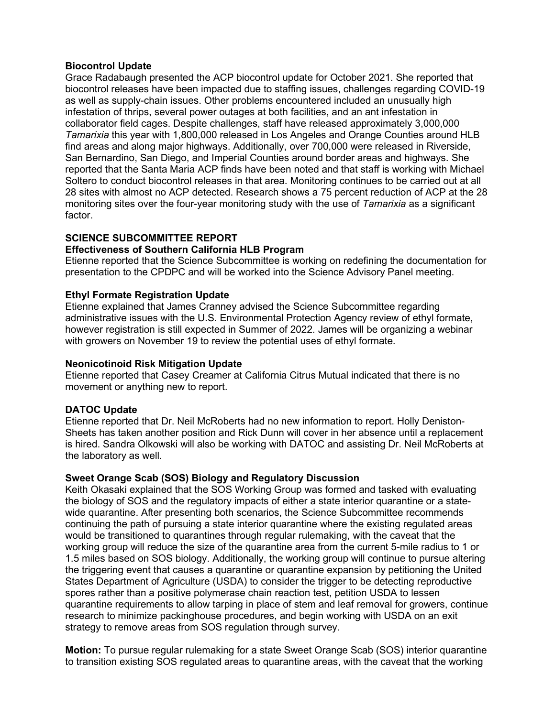#### **Biocontrol Update**

 reported that the Santa Maria ACP finds have been noted and that staff is working with Michael monitoring sites over the four-year monitoring study with the use of *Tamarixia* as a significant Grace Radabaugh presented the ACP biocontrol update for October 2021. She reported that biocontrol releases have been impacted due to staffing issues, challenges regarding COVID-19 as well as supply-chain issues. Other problems encountered included an unusually high infestation of thrips, several power outages at both facilities, and an ant infestation in collaborator field cages. Despite challenges, staff have released approximately 3,000,000 *Tamarixia* this year with 1,800,000 released in Los Angeles and Orange Counties around HLB find areas and along major highways. Additionally, over 700,000 were released in Riverside, San Bernardino, San Diego, and Imperial Counties around border areas and highways. She Soltero to conduct biocontrol releases in that area. Monitoring continues to be carried out at all 28 sites with almost no ACP detected. Research shows a 75 percent reduction of ACP at the 28 factor.

# **SCIENCE SUBCOMMITTEE REPORT**

## **Effectiveness of Southern California HLB Program**

 Etienne reported that the Science Subcommittee is working on redefining the documentation for presentation to the CPDPC and will be worked into the Science Advisory Panel meeting.

#### **Ethyl Formate Registration Update**

 administrative issues with the U.S. Environmental Protection Agency review of ethyl formate, Etienne explained that James Cranney advised the Science Subcommittee regarding however registration is still expected in Summer of 2022. James will be organizing a webinar with growers on November 19 to review the potential uses of ethyl formate.

#### **Neonicotinoid Risk Mitigation Update**

 Etienne reported that Casey Creamer at California Citrus Mutual indicated that there is no movement or anything new to report.

## **DATOC Update**

Etienne reported that Dr. Neil McRoberts had no new information to report. Holly Deniston-Sheets has taken another position and Rick Dunn will cover in her absence until a replacement is hired. Sandra Olkowski will also be working with DATOC and assisting Dr. Neil McRoberts at the laboratory as well.

#### **Sweet Orange Scab (SOS) Biology and Regulatory Discussion**

 would be transitioned to quarantines through regular rulemaking, with the caveat that the Keith Okasaki explained that the SOS Working Group was formed and tasked with evaluating the biology of SOS and the regulatory impacts of either a state interior quarantine or a statewide quarantine. After presenting both scenarios, the Science Subcommittee recommends continuing the path of pursuing a state interior quarantine where the existing regulated areas working group will reduce the size of the quarantine area from the current 5-mile radius to 1 or 1.5 miles based on SOS biology. Additionally, the working group will continue to pursue altering the triggering event that causes a quarantine or quarantine expansion by petitioning the United States Department of Agriculture (USDA) to consider the trigger to be detecting reproductive spores rather than a positive polymerase chain reaction test, petition USDA to lessen quarantine requirements to allow tarping in place of stem and leaf removal for growers, continue research to minimize packinghouse procedures, and begin working with USDA on an exit strategy to remove areas from SOS regulation through survey.

**Motion:** To pursue regular rulemaking for a state Sweet Orange Scab (SOS) interior quarantine to transition existing SOS regulated areas to quarantine areas, with the caveat that the working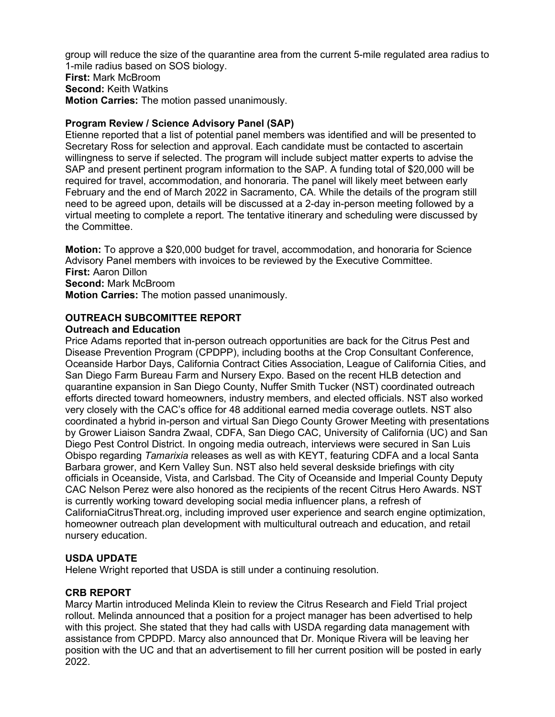group will reduce the size of the quarantine area from the current 5-mile regulated area radius to 1-mile radius based on SOS biology. **First:** Mark McBroom **Second:** Keith Watkins

**Motion Carries:** The motion passed unanimously.

# **Program Review / Science Advisory Panel (SAP)**

Etienne reported that a list of potential panel members was identified and will be presented to Secretary Ross for selection and approval. Each candidate must be contacted to ascertain willingness to serve if selected. The program will include subject matter experts to advise the SAP and present pertinent program information to the SAP. A funding total of \$20,000 will be required for travel, accommodation, and honoraria. The panel will likely meet between early February and the end of March 2022 in Sacramento, CA. While the details of the program still need to be agreed upon, details will be discussed at a 2-day in-person meeting followed by a virtual meeting to complete a report. The tentative itinerary and scheduling were discussed by the Committee.

 **Motion:** To approve a \$20,000 budget for travel, accommodation, and honoraria for Science Advisory Panel members with invoices to be reviewed by the Executive Committee. **First:** Aaron Dillon **Second:** Mark McBroom **Motion Carries:** The motion passed unanimously.

# **OUTREACH SUBCOMITTEE REPORT**

## **Outreach and Education**

 Price Adams reported that in-person outreach opportunities are back for the Citrus Pest and Disease Prevention Program (CPDPP), including booths at the Crop Consultant Conference, Oceanside Harbor Days, California Contract Cities Association, League of California Cities, and San Diego Farm Bureau Farm and Nursery Expo. Based on the recent HLB detection and quarantine expansion in San Diego County, Nuffer Smith Tucker (NST) coordinated outreach efforts directed toward homeowners, industry members, and elected officials. NST also worked very closely with the CAC's office for 48 additional earned media coverage outlets. NST also coordinated a hybrid in-person and virtual San Diego County Grower Meeting with presentations by Grower Liaison Sandra Zwaal, CDFA, San Diego CAC, University of California (UC) and San Diego Pest Control District. In ongoing media outreach, interviews were secured in San Luis Obispo regarding *Tamarixia* releases as well as with KEYT, featuring CDFA and a local Santa Barbara grower, and Kern Valley Sun. NST also held several deskside briefings with city officials in Oceanside, Vista, and Carlsbad. The City of Oceanside and Imperial County Deputy CAC Nelson Perez were also honored as the recipients of the recent Citrus Hero Awards. NST is currently working toward developing social media influencer plans, a refresh of [CaliforniaCitrusThreat.org](https://CaliforniaCitrusThreat.org), including improved user experience and search engine optimization, homeowner outreach plan development with multicultural outreach and education, and retail nursery education.

# **USDA UPDATE**

Helene Wright reported that USDA is still under a continuing resolution.

# **CRB REPORT**

 Marcy Martin introduced Melinda Klein to review the Citrus Research and Field Trial project rollout. Melinda announced that a position for a project manager has been advertised to help with this project. She stated that they had calls with USDA regarding data management with assistance from CPDPD. Marcy also announced that Dr. Monique Rivera will be leaving her 2022. position with the UC and that an advertisement to fill her current position will be posted in early